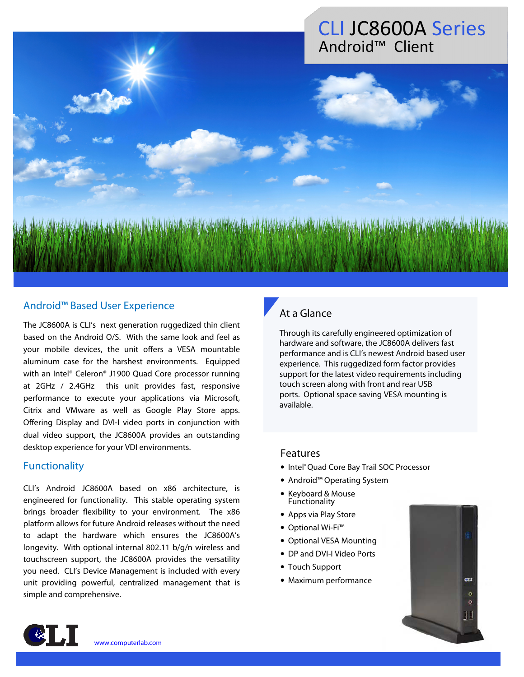## CLI JC8600A Series Android™ Client

### Android™ Based User Experience

The JC8600A is CLI's next generation ruggedized thin client based on the Android O/S. With the same look and feel as your mobile devices, the unit offers a VESA mountable aluminum case for the harshest environments. Equipped with an Intel® Celeron® J1900 Quad Core processor running at 2GHz / 2.4GHz this unit provides fast, responsive performance to execute your applications via Microsoft, Citrix and VMware as well as Google Play Store apps. Offering Display and DVI-I video ports in conjunction with dual video support, the JC8600A provides an outstanding desktop experience for your VDI environments.

#### **Functionality**

CLI's Android JC8600A based on x86 architecture, is engineered for functionality. This stable operating system brings broader flexibility to your environment. The x86 platform allows for future Android releases without the need to adapt the hardware which ensures the JC8600A's longevity. With optional internal 802.11 b/g/n wireless and touchscreen support, the JC8600A provides the versatility you need. CLI's Device Management is included with every unit providing powerful, centralized management that is simple and comprehensive.

### At a Glance

Through its carefully engineered optimization of hardware and software, the JC8600A delivers fast performance and is CLI's newest Android based user experience. This ruggedized form factor provides support for the latest video requirements including touch screen along with front and rear USB ports. Optional space saving VESA mounting is available.

#### Features

- Intel® Quad Core Bay Trail SOC Processor
- Android™ Operating System
- Keyboard & Mouse **Functionality**
- Apps via Play Store
- Optional Wi-Fi™
- Optional VESA Mounting
- DP and DVI-I Video Ports
- Touch Support
- Maximum performance